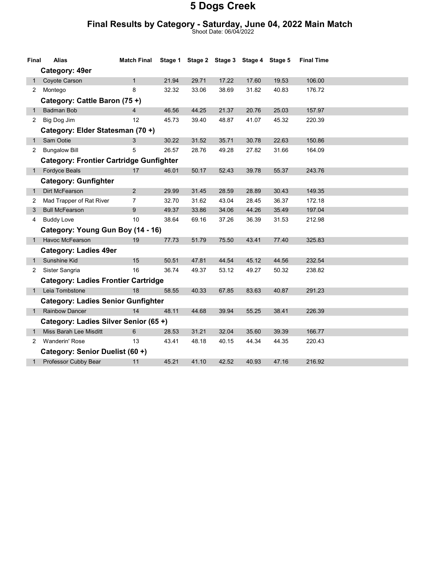#### Final Results by Category - Saturday, June 04, 2022 Main Match

Shoot Date: 06/04/2022

| Final                           | <b>Alias</b>                                   | <b>Match Final</b> | Stage 1 |       |       | Stage 2 Stage 3 Stage 4 Stage 5 |       | <b>Final Time</b> |  |
|---------------------------------|------------------------------------------------|--------------------|---------|-------|-------|---------------------------------|-------|-------------------|--|
|                                 | Category: 49er                                 |                    |         |       |       |                                 |       |                   |  |
|                                 | Coyote Carson                                  | $\mathbf{1}$       | 21.94   | 29.71 | 17.22 | 17.60                           | 19.53 | 106.00            |  |
| $\overline{2}$                  | Montego                                        | 8                  | 32.32   | 33.06 | 38.69 | 31.82                           | 40.83 | 176.72            |  |
|                                 | Category: Cattle Baron (75+)                   |                    |         |       |       |                                 |       |                   |  |
| $\mathbf{1}$                    | <b>Badman Bob</b>                              | $\overline{4}$     | 46.56   | 44.25 | 21.37 | 20.76                           | 25.03 | 157.97            |  |
| 2                               | Big Dog Jim                                    | 12                 | 45.73   | 39.40 | 48.87 | 41.07                           | 45.32 | 220.39            |  |
|                                 | Category: Elder Statesman (70 +)               |                    |         |       |       |                                 |       |                   |  |
| $\mathbf{1}$                    | Sam Ootie                                      | 3                  | 30.22   | 31.52 | 35.71 | 30.78                           | 22.63 | 150.86            |  |
| 2                               | <b>Bungalow Bill</b>                           | 5                  | 26.57   | 28.76 | 49.28 | 27.82                           | 31.66 | 164.09            |  |
|                                 | <b>Category: Frontier Cartridge Gunfighter</b> |                    |         |       |       |                                 |       |                   |  |
| 1                               | Fordyce Beals                                  | 17                 | 46.01   | 50.17 | 52.43 | 39.78                           | 55.37 | 243.76            |  |
|                                 | <b>Category: Gunfighter</b>                    |                    |         |       |       |                                 |       |                   |  |
| 1                               | Dirt McFearson                                 | 2                  | 29.99   | 31.45 | 28.59 | 28.89                           | 30.43 | 149.35            |  |
| 2                               | Mad Trapper of Rat River                       | $\overline{7}$     | 32.70   | 31.62 | 43.04 | 28.45                           | 36.37 | 172.18            |  |
| 3                               | <b>Bull McFearson</b>                          | 9                  | 49.37   | 33.86 | 34.06 | 44.26                           | 35.49 | 197.04            |  |
| 4                               | <b>Buddy Love</b>                              | 10                 | 38.64   | 69.16 | 37.26 | 36.39                           | 31.53 | 212.98            |  |
|                                 | Category: Young Gun Boy (14 - 16)              |                    |         |       |       |                                 |       |                   |  |
|                                 | 1 Havoc McFearson                              | 19                 | 77.73   | 51.79 | 75.50 | 43.41                           | 77.40 | 325.83            |  |
|                                 | <b>Category: Ladies 49er</b>                   |                    |         |       |       |                                 |       |                   |  |
| 1                               | Sunshine Kid                                   | 15                 | 50.51   | 47.81 | 44.54 | 45.12                           | 44.56 | 232.54            |  |
| 2                               | Sister Sangria                                 | 16                 | 36.74   | 49.37 | 53.12 | 49.27                           | 50.32 | 238.82            |  |
|                                 | <b>Category: Ladies Frontier Cartridge</b>     |                    |         |       |       |                                 |       |                   |  |
| 1                               | Leia Tombstone                                 | 18                 | 58.55   | 40.33 | 67.85 | 83.63                           | 40.87 | 291.23            |  |
|                                 | <b>Category: Ladies Senior Gunfighter</b>      |                    |         |       |       |                                 |       |                   |  |
|                                 | 1 Rainbow Dancer                               | 14                 | 48.11   | 44.68 | 39.94 | 55.25                           | 38.41 | 226.39            |  |
|                                 | Category: Ladies Silver Senior (65+)           |                    |         |       |       |                                 |       |                   |  |
|                                 | Miss Barah Lee Misditt                         | 6                  | 28.53   | 31.21 | 32.04 | 35.60                           | 39.39 | 166.77            |  |
| 2                               | <b>Wanderin' Rose</b>                          | 13                 | 43.41   | 48.18 | 40.15 | 44.34                           | 44.35 | 220.43            |  |
| Category: Senior Duelist (60 +) |                                                |                    |         |       |       |                                 |       |                   |  |
|                                 | Professor Cubby Bear                           | 11                 | 45.21   | 41.10 | 42.52 | 40.93                           | 47.16 | 216.92            |  |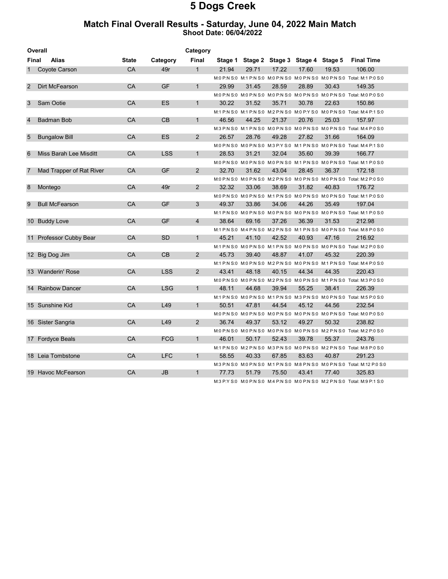#### Match Final Overall Results - Saturday, June 04, 2022 Main Match Shoot Date: 06/04/2022

| Overall<br>Category |                          |              |            |                |       |       |                                         |       |       |                                                                                            |
|---------------------|--------------------------|--------------|------------|----------------|-------|-------|-----------------------------------------|-------|-------|--------------------------------------------------------------------------------------------|
| <b>Final</b>        | Alias                    | <b>State</b> | Category   | Final          |       |       | Stage 1 Stage 2 Stage 3 Stage 4 Stage 5 |       |       | <b>Final Time</b>                                                                          |
| 1                   | Coyote Carson            | <b>CA</b>    | 49r        | $\mathbf{1}$   | 21.94 | 29.71 | 17.22                                   | 17.60 | 19.53 | 106.00                                                                                     |
|                     |                          |              |            |                |       |       |                                         |       |       | M:0 P:N S:0 M:1 P:N S:0 M:0 P:N S:0 M:0 P:N S:0 M:0 P:N S:0 Total: M:1 P:0 S:0             |
| 2                   | Dirt McFearson           | CA           | <b>GF</b>  | $\mathbf{1}$   | 29.99 | 31.45 | 28.59                                   | 28.89 | 30.43 | 149.35                                                                                     |
|                     |                          |              |            |                |       |       |                                         |       |       | M:0 P:N S:0 M:0 P:N S:0 M:0 P:N S:0 M:0 P:N S:0 M:0 P:N S:0 Total: M:0 P:0 S:0             |
| 3                   | Sam Ootie                | <b>CA</b>    | ES         | $\mathbf{1}$   | 30.22 | 31.52 | 35.71                                   | 30.78 | 22.63 | 150.86                                                                                     |
|                     |                          |              |            |                |       |       |                                         |       |       | M:1 P:N S:0 M:1 P:N S:0 M:2 P:N S:0 M:0 P:Y S:0 M:0 P:N S:0 Total: M:4 P:1 S:0             |
| $\overline{4}$      | Badman Bob               | CA           | CB         | $\mathbf{1}$   | 46.56 | 44.25 | 21.37                                   | 20.76 | 25.03 | 157.97                                                                                     |
|                     |                          |              |            |                |       |       |                                         |       |       | M:3 P:N S:0 M:1 P:N S:0 M:0 P:N S:0 M:0 P:N S:0 M:0 P:N S:0 M:0 P:N S:0 Total: M:4 P:0 S:0 |
| 5                   | <b>Bungalow Bill</b>     | CA           | <b>ES</b>  | $\overline{2}$ | 26.57 | 28.76 | 49.28                                   | 27.82 | 31.66 | 164.09                                                                                     |
|                     |                          |              |            |                |       |       |                                         |       |       | M:0 P:N S:0 M:0 P:N S:0 M:3 P:Y S:0 M:1 P:N S:0 M:0 P:N S:0 Total: M:4 P:1 S:0             |
| 6                   | Miss Barah Lee Misditt   | CA           | <b>LSS</b> | $\mathbf{1}$   | 28.53 | 31.21 | 32.04                                   | 35.60 | 39.39 | 166.77                                                                                     |
|                     |                          |              |            |                |       |       |                                         |       |       | M:0 P:N S:0 M:0 P:N S:0 M:0 P:N S:0 M:1 P:N S:0 M:0 P:N S:0 Total: M:1 P:0 S:0             |
| 7                   | Mad Trapper of Rat River | CA           | <b>GF</b>  | $\overline{2}$ | 32.70 | 31.62 | 43.04                                   | 28.45 | 36.37 | 172.18                                                                                     |
|                     |                          |              |            |                |       |       |                                         |       |       | M:0 P:N S:0 M:0 P:N S:0 M:2 P:N S:0 M:0 P:N S:0 M:0 P:N S:0 Total: M:2 P:0 S:0             |
| 8                   | Montego                  | CA           | 49r        | $\overline{2}$ | 32.32 | 33.06 | 38.69                                   | 31.82 | 40.83 | 176.72                                                                                     |
|                     |                          |              |            |                |       |       |                                         |       |       | M:0 P:N S:0 M:0 P:N S:0 M:1 P:N S:0 M:0 P:N S:0 M:0 P:N S:0 Total: M:1 P:0 S:0             |
| 9                   | <b>Bull McFearson</b>    | CA           | <b>GF</b>  | 3              | 49.37 | 33.86 | 34.06                                   | 44.26 | 35.49 | 197.04                                                                                     |
|                     |                          |              |            |                |       |       |                                         |       |       | M:1 P:N S:0 M:0 P:N S:0 M:0 P:N S:0 M:0 P:N S:0 M:0 P:N S:0 M:0 P:N S:0 Total: M:1 P:0 S:0 |
|                     | 10 Buddy Love            | CA           | <b>GF</b>  | $\overline{4}$ | 38.64 | 69.16 | 37.26                                   | 36.39 | 31.53 | 212.98                                                                                     |
|                     |                          |              |            |                |       |       |                                         |       |       | M:1 P:N S:0 M:4 P:N S:0 M:2 P:N S:0 M:1 P:N S:0 M:0 P:N S:0 Total: M:8 P:0 S:0             |
|                     | 11 Professor Cubby Bear  | CA           | <b>SD</b>  | $\mathbf{1}$   | 45.21 | 41.10 | 42.52                                   | 40.93 | 47.16 | 216.92                                                                                     |
|                     |                          |              |            |                |       |       |                                         |       |       | M:1 P:N S:0 M:0 P:N S:0 M:1 P:N S:0 M:0 P:N S:0 M:0 P:N S:0 Total: M:2 P:0 S:0             |
|                     | 12 Big Dog Jim           | CA           | CB         | $\overline{2}$ | 45.73 | 39.40 | 48.87                                   | 41.07 | 45.32 | 220.39                                                                                     |
|                     |                          |              |            |                |       |       |                                         |       |       | M:1 P:N S:0 M:0 P:N S:0 M:2 P:N S:0 M:0 P:N S:0 M:1 P:N S:0 Total: M:4 P:0 S:0             |
|                     | 13 Wanderin' Rose        | CA           | <b>LSS</b> | $\overline{2}$ | 43.41 | 48.18 | 40.15                                   | 44.34 | 44.35 | 220.43                                                                                     |
|                     |                          |              |            |                |       |       |                                         |       |       | M:0 P:N S:0 M:0 P:N S:0 M:2 P:N S:0 M:0 P:N S:0 M:1 P:N S:0 Total: M:3 P:0 S:0             |
|                     | 14 Rainbow Dancer        | <b>CA</b>    | LSG        | $\mathbf{1}$   | 48.11 | 44.68 | 39.94                                   | 55.25 | 38.41 | 226.39                                                                                     |
|                     |                          |              |            |                |       |       |                                         |       |       | M:1 P:N S:0 M:0 P:N S:0 M:1 P:N S:0 M:3 P:N S:0 M:0 P:N S:0 Total: M:5 P:0 S:0             |
|                     | 15 Sunshine Kid          | CA           | L49        | $\mathbf{1}$   | 50.51 | 47.81 | 44.54                                   | 45.12 | 44.56 | 232.54                                                                                     |
|                     |                          |              |            |                |       |       |                                         |       |       | M:0 P:N S:0 M:0 P:N S:0 M:0 P:N S:0 M:0 P:N S:0 M:0 P:N S:0 Total: M:0 P:0 S:0             |
|                     | 16 Sister Sangria        | CA           | L49        | $\overline{2}$ | 36.74 | 49.37 | 53.12                                   | 49.27 | 50.32 | 238.82                                                                                     |
|                     |                          |              |            |                |       |       |                                         |       |       | M:0 P:N S:0 M:0 P:N S:0 M:0 P:N S:0 M:0 P:N S:0 M:2 P:N S:0 Total: M:2 P:0 S:0             |
|                     | 17 Fordyce Beals         | CA           | <b>FCG</b> | $\mathbf{1}$   | 46.01 | 50.17 | 52.43                                   | 39.78 | 55.37 | 243.76                                                                                     |
|                     |                          |              |            |                |       |       |                                         |       |       | M:1 P:N S:0 M:2 P:N S:0 M:3 P:N S:0 M:0 P:N S:0 M:2 P:N S:0 Total: M:8 P:0 S:0             |
|                     | 18 Leia Tombstone        | CA           | <b>LFC</b> | $\mathbf{1}$   | 58.55 | 40.33 | 67.85                                   | 83.63 | 40.87 | 291.23                                                                                     |
|                     |                          |              |            |                |       |       |                                         |       |       | M:3 P:N S:0 M:0 P:N S:0 M:1 P:N S:0 M:8 P:N S:0 M:0 P:N S:0 Total: M:12 P:0 S:0            |
|                     | 19 Havoc McFearson       | CA           | <b>JB</b>  | $\mathbf{1}$   | 77.73 | 51.79 | 75.50                                   | 43.41 | 77.40 | 325.83                                                                                     |
|                     |                          |              |            |                |       |       |                                         |       |       | M:3 P:Y S:0 M:0 P:N S:0 M:4 P:N S:0 M:0 P:N S:0 M:2 P:N S:0 Total: M:9 P:1 S:0             |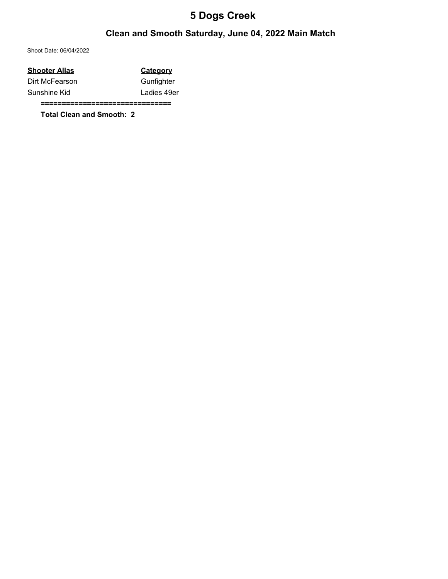#### Clean and Smooth Saturday, June 04, 2022 Main Match

Shoot Date: 06/04/2022

| Shooter Alias  | <b>Category</b> |
|----------------|-----------------|
| Dirt McFearson | Gunfighter      |
| Sunshine Kid   | Ladies 49er     |
|                |                 |

Total Clean and Smooth: 2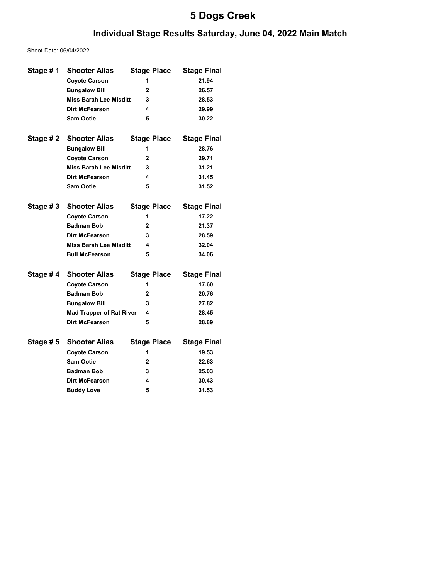#### Individual Stage Results Saturday, June 04, 2022 Main Match

Shoot Date: 06/04/2022

| Stage #1  | <b>Shooter Alias</b>            | <b>Stage Place</b> | <b>Stage Final</b> |
|-----------|---------------------------------|--------------------|--------------------|
|           | <b>Coyote Carson</b>            | 1                  | 21.94              |
|           | <b>Bungalow Bill</b>            | $\mathbf{2}$       | 26.57              |
|           | <b>Miss Barah Lee Misditt</b>   | 3                  | 28.53              |
|           | Dirt McFearson                  | 4                  | 29.99              |
|           | <b>Sam Ootie</b>                | 5                  | 30.22              |
|           |                                 |                    |                    |
| Stage # 2 | <b>Shooter Alias</b>            | <b>Stage Place</b> | <b>Stage Final</b> |
|           | <b>Bungalow Bill</b>            | 1                  | 28.76              |
|           | <b>Coyote Carson</b>            | $\overline{2}$     | 29.71              |
|           | <b>Miss Barah Lee Misditt</b>   | 3                  | 31.21              |
|           | Dirt McFearson                  | 4                  | 31.45              |
|           | <b>Sam Ootie</b>                | 5                  | 31.52              |
|           |                                 |                    |                    |
| Stage #3  | <b>Shooter Alias</b>            | <b>Stage Place</b> | <b>Stage Final</b> |
|           | <b>Coyote Carson</b>            | 1                  | 17.22              |
|           | <b>Badman Bob</b>               | $\mathbf{2}$       | 21.37              |
|           | Dirt McFearson                  | 3                  | 28.59              |
|           | <b>Miss Barah Lee Misditt</b>   | 4                  | 32.04              |
|           | <b>Bull McFearson</b>           | 5                  | 34.06              |
|           |                                 |                    |                    |
| Stage #4  | <b>Shooter Alias</b>            | <b>Stage Place</b> | <b>Stage Final</b> |
|           | <b>Coyote Carson</b>            | 1                  | 17.60              |
|           | <b>Badman Bob</b>               | $\mathbf{2}$       | 20.76              |
|           | <b>Bungalow Bill</b>            | 3                  | 27.82              |
|           | <b>Mad Trapper of Rat River</b> | 4                  | 28.45              |
|           | <b>Dirt McFearson</b>           | 5                  | 28.89              |
| Stage # 5 | <b>Shooter Alias</b>            | <b>Stage Place</b> | <b>Stage Final</b> |
|           | <b>Coyote Carson</b>            | 1                  | 19.53              |
|           | <b>Sam Ootie</b>                | $\overline{2}$     | 22.63              |
|           | <b>Badman Bob</b>               | 3                  | 25.03              |
|           | <b>Dirt McFearson</b>           | 4                  | 30.43              |
|           | <b>Buddy Love</b>               | 5                  | 31.53              |
|           |                                 |                    |                    |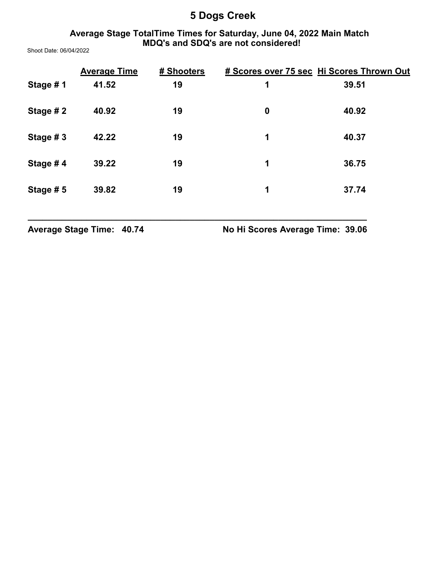#### Average Stage TotalTime Times for Saturday, June 04, 2022 Main Match MDQ's and SDQ's are not considered!

Shoot Date: 06/04/2022

|          | <b>Average Time</b> | # Shooters |                  | # Scores over 75 sec Hi Scores Thrown Out |
|----------|---------------------|------------|------------------|-------------------------------------------|
| Stage #1 | 41.52               | 19         | 1                | 39.51                                     |
| Stage #2 | 40.92               | 19         | $\boldsymbol{0}$ | 40.92                                     |
| Stage #3 | 42.22               | 19         | 1                | 40.37                                     |
| Stage #4 | 39.22               | 19         | 1                | 36.75                                     |
| Stage #5 | 39.82               | 19         | 1                | 37.74                                     |

\_\_\_\_\_\_\_\_\_\_\_\_\_\_\_\_\_\_\_\_\_\_\_\_\_\_\_\_\_\_\_\_\_\_\_\_\_\_\_\_\_\_\_\_\_\_\_\_\_\_\_\_\_\_\_\_\_\_\_\_\_\_\_\_\_\_\_\_\_

Average Stage Time: 40.74 No Hi Scores Average Time: 39.06